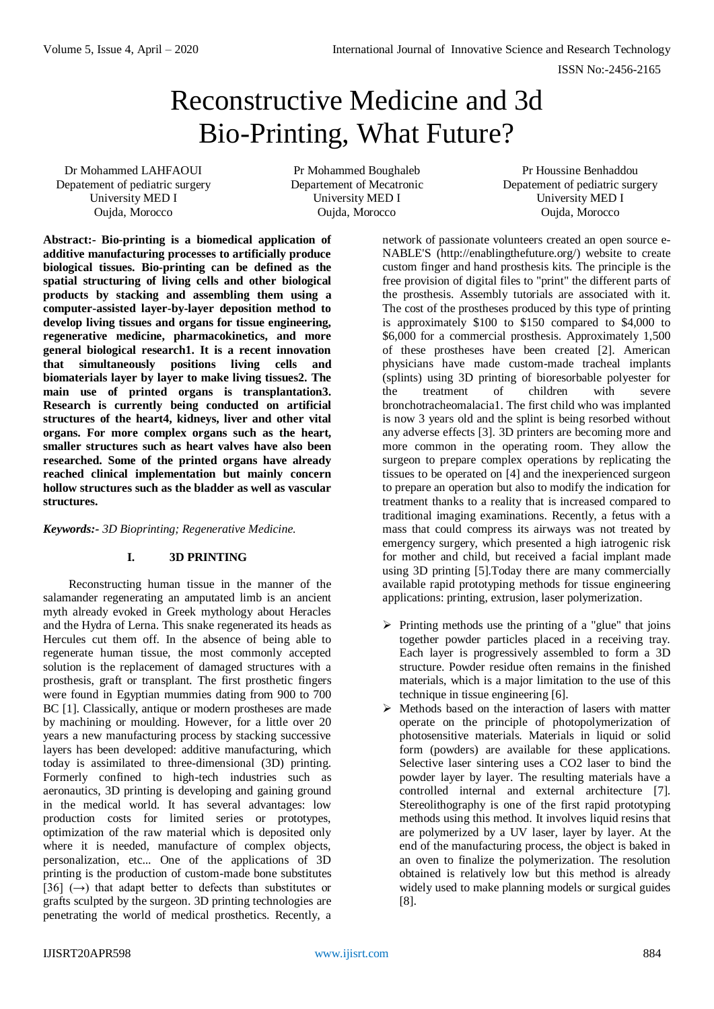# Reconstructive Medicine and 3d Bio-Printing, What Future?

Dr Mohammed LAHFAOUI Depatement of pediatric surgery University MED I Oujda, Morocco

Pr Mohammed Boughaleb Departement of Mecatronic University MED I Oujda, Morocco

Pr Houssine Benhaddou Depatement of pediatric surgery University MED I Oujda, Morocco

**Abstract:- Bio-printing is a biomedical application of additive manufacturing processes to artificially produce biological tissues. Bio-printing can be defined as the spatial structuring of living cells and other biological products by stacking and assembling them using a computer-assisted layer-by-layer deposition method to develop living tissues and organs for tissue engineering, regenerative medicine, pharmacokinetics, and more general biological research1. It is a recent innovation that simultaneously positions living cells and biomaterials layer by layer to make living tissues2. The main use of printed organs is transplantation3. Research is currently being conducted on artificial structures of the heart4, kidneys, liver and other vital organs. For more complex organs such as the heart, smaller structures such as heart valves have also been researched. Some of the printed organs have already reached clinical implementation but mainly concern hollow structures such as the bladder as well as vascular structures.**

*Keywords:- 3D Bioprinting; Regenerative Medicine.*

# **I. 3D PRINTING**

Reconstructing human tissue in the manner of the salamander regenerating an amputated limb is an ancient myth already evoked in Greek mythology about Heracles and the Hydra of Lerna. This snake regenerated its heads as Hercules cut them off. In the absence of being able to regenerate human tissue, the most commonly accepted solution is the replacement of damaged structures with a prosthesis, graft or transplant. The first prosthetic fingers were found in Egyptian mummies dating from 900 to 700 BC [1]. Classically, antique or modern prostheses are made by machining or moulding. However, for a little over 20 years a new manufacturing process by stacking successive layers has been developed: additive manufacturing, which today is assimilated to three-dimensional (3D) printing. Formerly confined to high-tech industries such as aeronautics, 3D printing is developing and gaining ground in the medical world. It has several advantages: low production costs for limited series or prototypes, optimization of the raw material which is deposited only where it is needed, manufacture of complex objects, personalization, etc... One of the applications of 3D printing is the production of custom-made bone substitutes [36]  $(\rightarrow)$  that adapt better to defects than substitutes or grafts sculpted by the surgeon. 3D printing technologies are penetrating the world of medical prosthetics. Recently, a

network of passionate volunteers created an open source e-NABLE'S (http://enablingthefuture.org/) website to create custom finger and hand prosthesis kits. The principle is the free provision of digital files to "print" the different parts of the prosthesis. Assembly tutorials are associated with it. The cost of the prostheses produced by this type of printing is approximately \$100 to \$150 compared to \$4,000 to \$6,000 for a commercial prosthesis. Approximately 1,500 of these prostheses have been created [2]. American physicians have made custom-made tracheal implants (splints) using 3D printing of bioresorbable polyester for the treatment of children with severe bronchotracheomalacia1. The first child who was implanted is now 3 years old and the splint is being resorbed without any adverse effects [3]. 3D printers are becoming more and more common in the operating room. They allow the surgeon to prepare complex operations by replicating the tissues to be operated on [4] and the inexperienced surgeon to prepare an operation but also to modify the indication for treatment thanks to a reality that is increased compared to traditional imaging examinations. Recently, a fetus with a mass that could compress its airways was not treated by emergency surgery, which presented a high iatrogenic risk for mother and child, but received a facial implant made using 3D printing [5].Today there are many commercially available rapid prototyping methods for tissue engineering applications: printing, extrusion, laser polymerization.

- $\triangleright$  Printing methods use the printing of a "glue" that joins together powder particles placed in a receiving tray. Each layer is progressively assembled to form a 3D structure. Powder residue often remains in the finished materials, which is a major limitation to the use of this technique in tissue engineering [6].
- $\triangleright$  Methods based on the interaction of lasers with matter operate on the principle of photopolymerization of photosensitive materials. Materials in liquid or solid form (powders) are available for these applications. Selective laser sintering uses a CO2 laser to bind the powder layer by layer. The resulting materials have a controlled internal and external architecture [7]. Stereolithography is one of the first rapid prototyping methods using this method. It involves liquid resins that are polymerized by a UV laser, layer by layer. At the end of the manufacturing process, the object is baked in an oven to finalize the polymerization. The resolution obtained is relatively low but this method is already widely used to make planning models or surgical guides [8].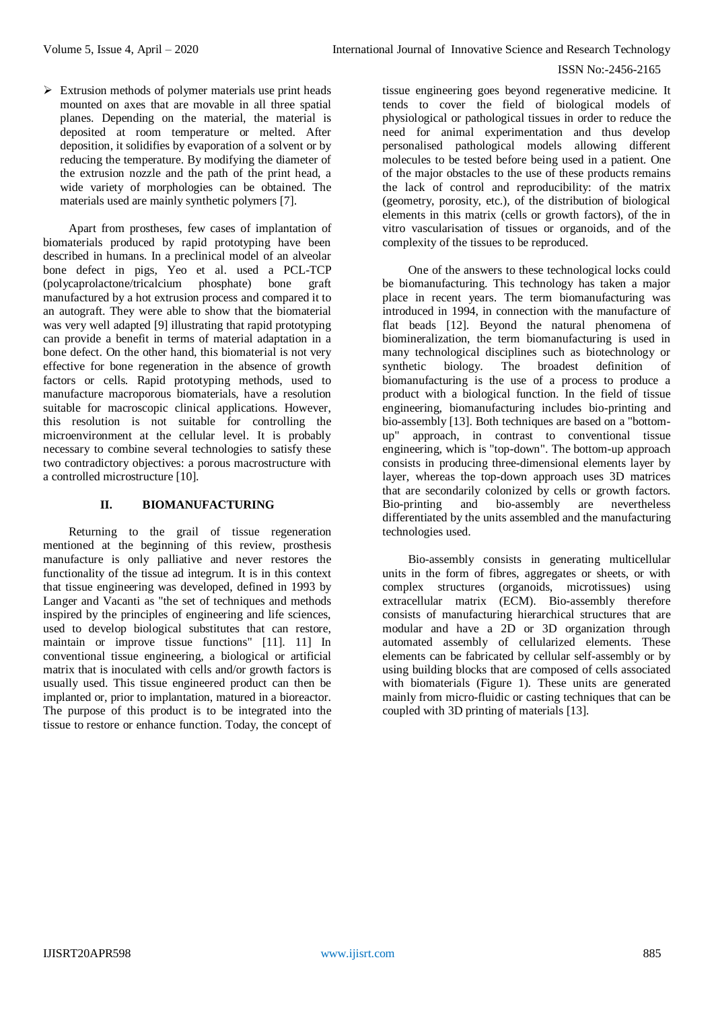$\triangleright$  Extrusion methods of polymer materials use print heads mounted on axes that are movable in all three spatial planes. Depending on the material, the material is deposited at room temperature or melted. After deposition, it solidifies by evaporation of a solvent or by reducing the temperature. By modifying the diameter of the extrusion nozzle and the path of the print head, a wide variety of morphologies can be obtained. The materials used are mainly synthetic polymers [7].

Apart from prostheses, few cases of implantation of biomaterials produced by rapid prototyping have been described in humans. In a preclinical model of an alveolar bone defect in pigs, Yeo et al. used a PCL-TCP (polycaprolactone/tricalcium phosphate) bone graft manufactured by a hot extrusion process and compared it to an autograft. They were able to show that the biomaterial was very well adapted [9] illustrating that rapid prototyping can provide a benefit in terms of material adaptation in a bone defect. On the other hand, this biomaterial is not very effective for bone regeneration in the absence of growth factors or cells. Rapid prototyping methods, used to manufacture macroporous biomaterials, have a resolution suitable for macroscopic clinical applications. However, this resolution is not suitable for controlling the microenvironment at the cellular level. It is probably necessary to combine several technologies to satisfy these two contradictory objectives: a porous macrostructure with a controlled microstructure [10].

### **II. BIOMANUFACTURING**

Returning to the grail of tissue regeneration mentioned at the beginning of this review, prosthesis manufacture is only palliative and never restores the functionality of the tissue ad integrum. It is in this context that tissue engineering was developed, defined in 1993 by Langer and Vacanti as "the set of techniques and methods inspired by the principles of engineering and life sciences, used to develop biological substitutes that can restore, maintain or improve tissue functions" [11]. 11] In conventional tissue engineering, a biological or artificial matrix that is inoculated with cells and/or growth factors is usually used. This tissue engineered product can then be implanted or, prior to implantation, matured in a bioreactor. The purpose of this product is to be integrated into the tissue to restore or enhance function. Today, the concept of

tissue engineering goes beyond regenerative medicine. It tends to cover the field of biological models of physiological or pathological tissues in order to reduce the need for animal experimentation and thus develop personalised pathological models allowing different molecules to be tested before being used in a patient. One of the major obstacles to the use of these products remains the lack of control and reproducibility: of the matrix (geometry, porosity, etc.), of the distribution of biological elements in this matrix (cells or growth factors), of the in vitro vascularisation of tissues or organoids, and of the complexity of the tissues to be reproduced.

One of the answers to these technological locks could be biomanufacturing. This technology has taken a major place in recent years. The term biomanufacturing was introduced in 1994, in connection with the manufacture of flat beads [12]. Beyond the natural phenomena of biomineralization, the term biomanufacturing is used in many technological disciplines such as biotechnology or synthetic biology. The broadest definition of biomanufacturing is the use of a process to produce a product with a biological function. In the field of tissue engineering, biomanufacturing includes bio-printing and bio-assembly [13]. Both techniques are based on a "bottomup" approach, in contrast to conventional tissue engineering, which is "top-down". The bottom-up approach consists in producing three-dimensional elements layer by layer, whereas the top-down approach uses 3D matrices that are secondarily colonized by cells or growth factors.<br>Bio-printing and bio-assembly are nevertheless Bio-printing and bio-assembly are nevertheless differentiated by the units assembled and the manufacturing technologies used.

Bio-assembly consists in generating multicellular units in the form of fibres, aggregates or sheets, or with complex structures (organoids, microtissues) using extracellular matrix (ECM). Bio-assembly therefore consists of manufacturing hierarchical structures that are modular and have a 2D or 3D organization through automated assembly of cellularized elements. These elements can be fabricated by cellular self-assembly or by using building blocks that are composed of cells associated with biomaterials (Figure 1). These units are generated mainly from micro-fluidic or casting techniques that can be coupled with 3D printing of materials [13].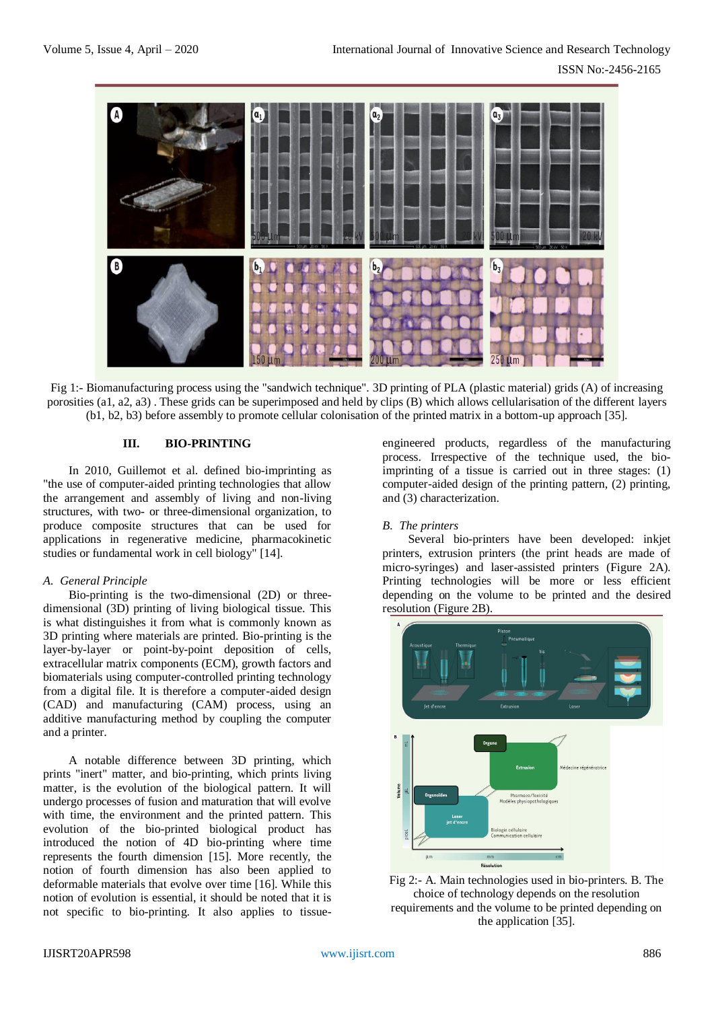

Fig 1:- Biomanufacturing process using the "sandwich technique". 3D printing of PLA (plastic material) grids (A) of increasing porosities (a1, a2, a3) . These grids can be superimposed and held by clips (B) which allows cellularisation of the different layers (b1, b2, b3) before assembly to promote cellular colonisation of the printed matrix in a bottom-up approach [35].

## **III. BIO-PRINTING**

In 2010, Guillemot et al. defined bio-imprinting as "the use of computer-aided printing technologies that allow the arrangement and assembly of living and non-living structures, with two- or three-dimensional organization, to produce composite structures that can be used for applications in regenerative medicine, pharmacokinetic studies or fundamental work in cell biology" [14].

## *A. General Principle*

Bio-printing is the two-dimensional (2D) or threedimensional (3D) printing of living biological tissue. This is what distinguishes it from what is commonly known as 3D printing where materials are printed. Bio-printing is the layer-by-layer or point-by-point deposition of cells, extracellular matrix components (ECM), growth factors and biomaterials using computer-controlled printing technology from a digital file. It is therefore a computer-aided design (CAD) and manufacturing (CAM) process, using an additive manufacturing method by coupling the computer and a printer.

A notable difference between 3D printing, which prints "inert" matter, and bio-printing, which prints living matter, is the evolution of the biological pattern. It will undergo processes of fusion and maturation that will evolve with time, the environment and the printed pattern. This evolution of the bio-printed biological product has introduced the notion of 4D bio-printing where time represents the fourth dimension [15]. More recently, the notion of fourth dimension has also been applied to deformable materials that evolve over time [16]. While this notion of evolution is essential, it should be noted that it is not specific to bio-printing. It also applies to tissueengineered products, regardless of the manufacturing process. Irrespective of the technique used, the bioimprinting of a tissue is carried out in three stages: (1) computer-aided design of the printing pattern, (2) printing, and (3) characterization.

## *B. The printers*

Several bio-printers have been developed: inkjet printers, extrusion printers (the print heads are made of micro-syringes) and laser-assisted printers (Figure 2A). Printing technologies will be more or less efficient depending on the volume to be printed and the desired resolution (Figure 2B).



Fig 2:- A. Main technologies used in bio-printers. B. The choice of technology depends on the resolution requirements and the volume to be printed depending on the application [35].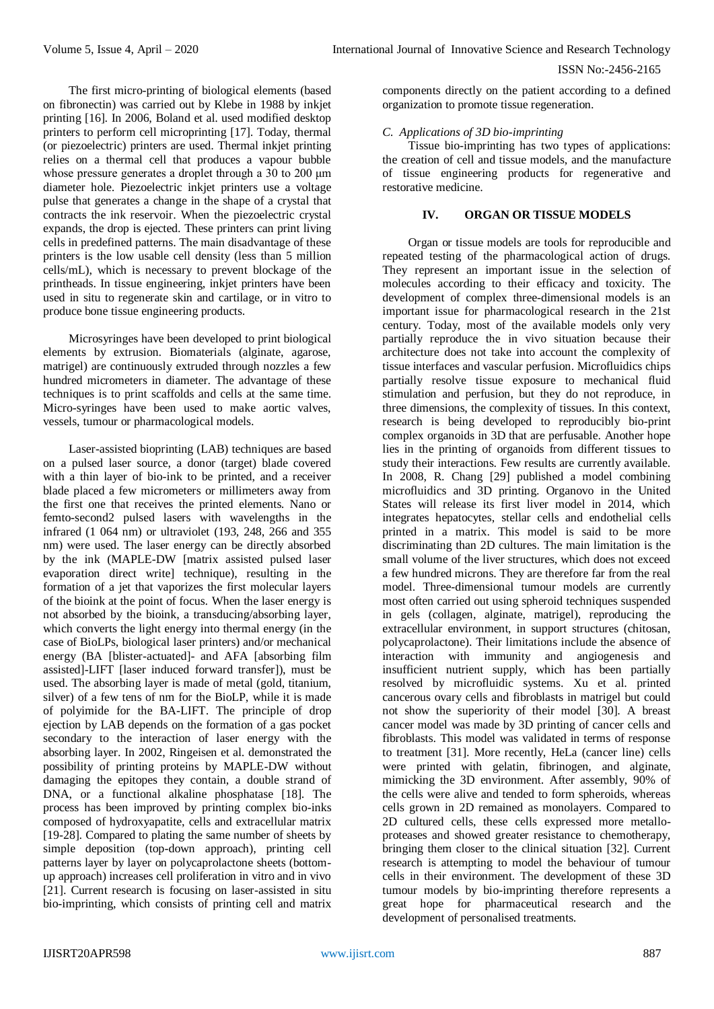The first micro-printing of biological elements (based on fibronectin) was carried out by Klebe in 1988 by inkjet printing [16]. In 2006, Boland et al. used modified desktop printers to perform cell microprinting [17]. Today, thermal (or piezoelectric) printers are used. Thermal inkjet printing relies on a thermal cell that produces a vapour bubble whose pressure generates a droplet through a 30 to 200 μm diameter hole. Piezoelectric inkjet printers use a voltage pulse that generates a change in the shape of a crystal that contracts the ink reservoir. When the piezoelectric crystal expands, the drop is ejected. These printers can print living cells in predefined patterns. The main disadvantage of these printers is the low usable cell density (less than 5 million cells/mL), which is necessary to prevent blockage of the printheads. In tissue engineering, inkjet printers have been used in situ to regenerate skin and cartilage, or in vitro to produce bone tissue engineering products.

Microsyringes have been developed to print biological elements by extrusion. Biomaterials (alginate, agarose, matrigel) are continuously extruded through nozzles a few hundred micrometers in diameter. The advantage of these techniques is to print scaffolds and cells at the same time. Micro-syringes have been used to make aortic valves, vessels, tumour or pharmacological models.

Laser-assisted bioprinting (LAB) techniques are based on a pulsed laser source, a donor (target) blade covered with a thin layer of bio-ink to be printed, and a receiver blade placed a few micrometers or millimeters away from the first one that receives the printed elements. Nano or femto-second2 pulsed lasers with wavelengths in the infrared (1 064 nm) or ultraviolet (193, 248, 266 and 355 nm) were used. The laser energy can be directly absorbed by the ink (MAPLE-DW [matrix assisted pulsed laser evaporation direct write] technique), resulting in the formation of a jet that vaporizes the first molecular layers of the bioink at the point of focus. When the laser energy is not absorbed by the bioink, a transducing/absorbing layer, which converts the light energy into thermal energy (in the case of BioLPs, biological laser printers) and/or mechanical energy (BA [blister-actuated]- and AFA [absorbing film assisted]-LIFT [laser induced forward transfer]), must be used. The absorbing layer is made of metal (gold, titanium, silver) of a few tens of nm for the BioLP, while it is made of polyimide for the BA-LIFT. The principle of drop ejection by LAB depends on the formation of a gas pocket secondary to the interaction of laser energy with the absorbing layer. In 2002, Ringeisen et al. demonstrated the possibility of printing proteins by MAPLE-DW without damaging the epitopes they contain, a double strand of DNA, or a functional alkaline phosphatase [18]. The process has been improved by printing complex bio-inks composed of hydroxyapatite, cells and extracellular matrix [19-28]. Compared to plating the same number of sheets by simple deposition (top-down approach), printing cell patterns layer by layer on polycaprolactone sheets (bottomup approach) increases cell proliferation in vitro and in vivo [21]. Current research is focusing on laser-assisted in situ bio-imprinting, which consists of printing cell and matrix

components directly on the patient according to a defined organization to promote tissue regeneration.

## *C. Applications of 3D bio-imprinting*

Tissue bio-imprinting has two types of applications: the creation of cell and tissue models, and the manufacture of tissue engineering products for regenerative and restorative medicine.

## **IV. ORGAN OR TISSUE MODELS**

Organ or tissue models are tools for reproducible and repeated testing of the pharmacological action of drugs. They represent an important issue in the selection of molecules according to their efficacy and toxicity. The development of complex three-dimensional models is an important issue for pharmacological research in the 21st century. Today, most of the available models only very partially reproduce the in vivo situation because their architecture does not take into account the complexity of tissue interfaces and vascular perfusion. Microfluidics chips partially resolve tissue exposure to mechanical fluid stimulation and perfusion, but they do not reproduce, in three dimensions, the complexity of tissues. In this context, research is being developed to reproducibly bio-print complex organoids in 3D that are perfusable. Another hope lies in the printing of organoids from different tissues to study their interactions. Few results are currently available. In 2008, R. Chang [29] published a model combining microfluidics and 3D printing. Organovo in the United States will release its first liver model in 2014, which integrates hepatocytes, stellar cells and endothelial cells printed in a matrix. This model is said to be more discriminating than 2D cultures. The main limitation is the small volume of the liver structures, which does not exceed a few hundred microns. They are therefore far from the real model. Three-dimensional tumour models are currently most often carried out using spheroid techniques suspended in gels (collagen, alginate, matrigel), reproducing the extracellular environment, in support structures (chitosan, polycaprolactone). Their limitations include the absence of interaction with immunity and angiogenesis and insufficient nutrient supply, which has been partially resolved by microfluidic systems. Xu et al. printed cancerous ovary cells and fibroblasts in matrigel but could not show the superiority of their model [30]. A breast cancer model was made by 3D printing of cancer cells and fibroblasts. This model was validated in terms of response to treatment [31]. More recently, HeLa (cancer line) cells were printed with gelatin, fibrinogen, and alginate, mimicking the 3D environment. After assembly, 90% of the cells were alive and tended to form spheroids, whereas cells grown in 2D remained as monolayers. Compared to 2D cultured cells, these cells expressed more metalloproteases and showed greater resistance to chemotherapy, bringing them closer to the clinical situation [32]. Current research is attempting to model the behaviour of tumour cells in their environment. The development of these 3D tumour models by bio-imprinting therefore represents a great hope for pharmaceutical research and the development of personalised treatments.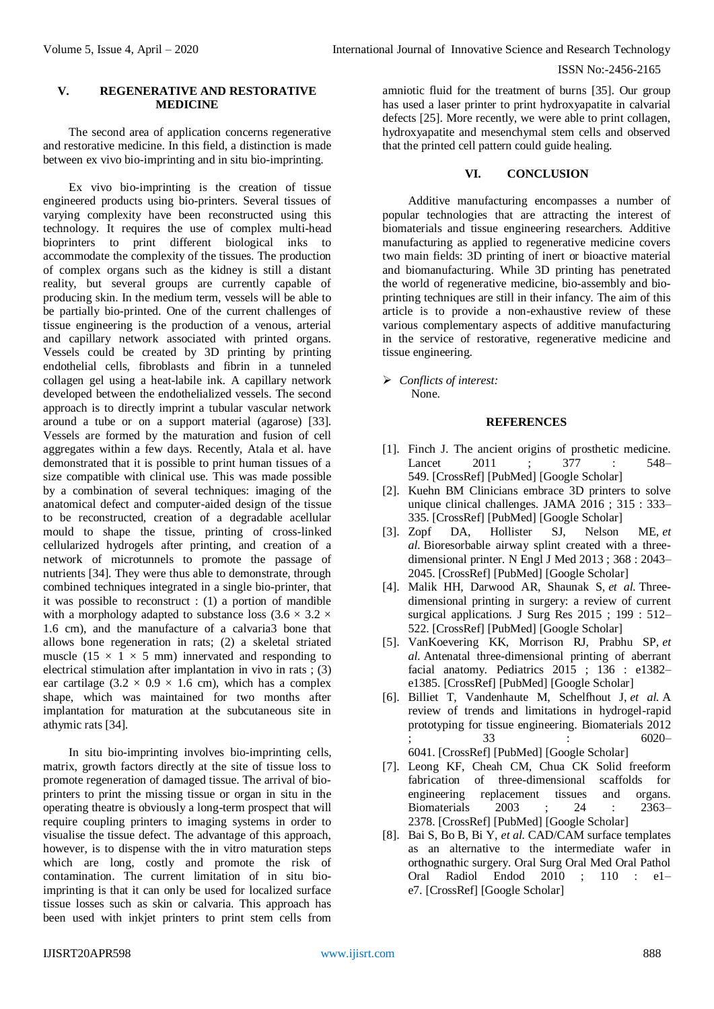#### **V. REGENERATIVE AND RESTORATIVE MEDICINE**

The second area of application concerns regenerative and restorative medicine. In this field, a distinction is made between ex vivo bio-imprinting and in situ bio-imprinting.

Ex vivo bio-imprinting is the creation of tissue engineered products using bio-printers. Several tissues of varying complexity have been reconstructed using this technology. It requires the use of complex multi-head bioprinters to print different biological inks to accommodate the complexity of the tissues. The production of complex organs such as the kidney is still a distant reality, but several groups are currently capable of producing skin. In the medium term, vessels will be able to be partially bio-printed. One of the current challenges of tissue engineering is the production of a venous, arterial and capillary network associated with printed organs. Vessels could be created by 3D printing by printing endothelial cells, fibroblasts and fibrin in a tunneled collagen gel using a heat-labile ink. A capillary network developed between the endothelialized vessels. The second approach is to directly imprint a tubular vascular network around a tube or on a support material (agarose) [33]. Vessels are formed by the maturation and fusion of cell aggregates within a few days. Recently, Atala et al. have demonstrated that it is possible to print human tissues of a size compatible with clinical use. This was made possible by a combination of several techniques: imaging of the anatomical defect and computer-aided design of the tissue to be reconstructed, creation of a degradable acellular mould to shape the tissue, printing of cross-linked cellularized hydrogels after printing, and creation of a network of microtunnels to promote the passage of nutrients [34]. They were thus able to demonstrate, through combined techniques integrated in a single bio-printer, that it was possible to reconstruct : (1) a portion of mandible with a morphology adapted to substance loss  $(3.6 \times 3.2 \times$ 1.6 cm), and the manufacture of a calvaria3 bone that allows bone regeneration in rats; (2) a skeletal striated muscle (15  $\times$  1  $\times$  5 mm) innervated and responding to electrical stimulation after implantation in vivo in rats ; (3) ear cartilage  $(3.2 \times 0.9 \times 1.6 \text{ cm})$ , which has a complex shape, which was maintained for two months after implantation for maturation at the subcutaneous site in athymic rats [34].

In situ bio-imprinting involves bio-imprinting cells, matrix, growth factors directly at the site of tissue loss to promote regeneration of damaged tissue. The arrival of bioprinters to print the missing tissue or organ in situ in the operating theatre is obviously a long-term prospect that will require coupling printers to imaging systems in order to visualise the tissue defect. The advantage of this approach, however, is to dispense with the in vitro maturation steps which are long, costly and promote the risk of contamination. The current limitation of in situ bioimprinting is that it can only be used for localized surface tissue losses such as skin or calvaria. This approach has been used with inkjet printers to print stem cells from

amniotic fluid for the treatment of burns [35]. Our group has used a laser printer to print hydroxyapatite in calvarial defects [25]. More recently, we were able to print collagen, hydroxyapatite and mesenchymal stem cells and observed that the printed cell pattern could guide healing.

#### **VI. CONCLUSION**

Additive manufacturing encompasses a number of popular technologies that are attracting the interest of biomaterials and tissue engineering researchers. Additive manufacturing as applied to regenerative medicine covers two main fields: 3D printing of inert or bioactive material and biomanufacturing. While 3D printing has penetrated the world of regenerative medicine, bio-assembly and bioprinting techniques are still in their infancy. The aim of this article is to provide a non-exhaustive review of these various complementary aspects of additive manufacturing in the service of restorative, regenerative medicine and tissue engineering.

 *Conflicts of interest:* None.

#### **REFERENCES**

- [1]. Finch J. The ancient origins of prosthetic medicine. Lancet 2011 ; 377 : 548– 549. [\[CrossRef\]](https://doi.org/10.1016/S0140-6736(11)60190-6) [\[PubMed\]](https://doi.org/10.1016/S0140-6736(11)60190-6) [Google [Scholar\]](https://scholar.google.com/scholar_lookup?title=The+ancient+origins+of+prosthetic+medicine&author=Finch+J.&journal=Lancet&volume=377&issue=9765&pages=-549&publication_year=2011&issn=01406736)
- [2]. Kuehn BM Clinicians embrace 3D printers to solve unique clinical challenges. JAMA 2016 ; 315 : 333– 335. [\[CrossRef\]](https://doi.org/10.1001/jama.2015.17705) [\[PubMed\]](https://doi.org/10.1001/jama.2015.17705) [Google [Scholar\]](https://scholar.google.com/scholar_lookup?title=Clinicians+embrace+3D+printers+to+solve+unique+clinical+challenges&author=Kuehn+BM&journal=JAMA&volume=315&issue=4&pages=-335&publication_year=2016&issn=0098-7484)
- [3]. Zopf DA, Hollister SJ, Nelson ME, *et al.* Bioresorbable airway splint created with a threedimensional printer. N Engl J Med 2013 ; 368 : 2043– 2045. [\[CrossRef\]](https://doi.org/10.1056/NEJMc1206319) [\[PubMed\]](https://doi.org/10.1056/NEJMc1206319) [Google [Scholar\]](https://scholar.google.com/scholar_lookup?title=Bioresorbable+airway+splint+created+with+a+three-dimensional+printer&author=Zopf+DA%2C+Hollister+SJ%2C+Nelson+ME&journal=N+Engl+J+Med&volume=368&issue=21&pages=-2045&publication_year=2013&issn=0028-4793%2C1533-4406)
- [4]. Malik HH, Darwood AR, Shaunak S, *et al.* Threedimensional printing in surgery: a review of current surgical applications. J Surg Res 2015 ; 199 : 512– 522. [\[CrossRef\]](https://doi.org/10.1016/j.jss.2015.06.051) [\[PubMed\]](https://doi.org/10.1016/j.jss.2015.06.051) [Google [Scholar\]](https://scholar.google.com/scholar_lookup?title=Three-dimensional+printing+in+surgery%3A+a+review+of+current+surgical+applications&author=Malik+HH%2C+Darwood+AR%2C+Shaunak+S&journal=J+Surg+Res&volume=199&issue=2&pages=-522&publication_year=2015&issn=00224804)
- [5]. VanKoevering KK, Morrison RJ, Prabhu SP, *et al.* Antenatal three-dimensional printing of aberrant facial anatomy. Pediatrics 2015 ; 136 : e1382– e1385. [\[CrossRef\]](https://doi.org/10.1542/peds.2015-1062) [\[PubMed\]](https://doi.org/10.1542/peds.2015-1062) [Google [Scholar\]](https://scholar.google.com/scholar_lookup?title=Antenatal+three-dimensional+printing+of+aberrant+facial+anatomy&author=VanKoevering+KK%2C+Morrison+RJ%2C+Prabhu+SP&journal=Pediatrics&volume=136&issue=5&pages=-e1385&publication_year=2015&issn=0031-4005%2C1098-4275)
- [6]. Billiet T, Vandenhaute M, Schelfhout J, *et al.* A review of trends and limitations in hydrogel-rapid prototyping for tissue engineering. Biomaterials 2012 ; 33 : 6020– 6041. [\[CrossRef\]](https://doi.org/10.1016/j.biomaterials.2012.04.050) [\[PubMed\]](https://doi.org/10.1016/j.biomaterials.2012.04.050) [Google [Scholar\]](https://scholar.google.com/scholar_lookup?title=A+review+of+trends+and+limitations+in+hydrogel-rapid+prototyping+for+tissue+engineering&author=Billiet+T%2C+Vandenhaute+M%2C+Schelfhout+J&journal=Biomaterials&volume=33&issue=26&pages=-6041&publication_year=2012&issn=01429612)
- [7]. Leong KF, Cheah CM, Chua CK Solid freeform fabrication of three-dimensional scaffolds for engineering replacement tissues and organs. Biomaterials 2003 ; 24 : 2363– 2378. [\[CrossRef\]](https://doi.org/10.1016/S0142-9612(03)00030-9) [\[PubMed\]](https://doi.org/10.1016/S0142-9612(03)00030-9) [Google [Scholar\]](https://scholar.google.com/scholar_lookup?title=Solid+freeform+fabrication+of+three-dimensional+scaffolds+for+engineering+replacement+tissues+and+organs&author=Leong+KF%2C+Cheah+CM%2C+Chua+CK&journal=Biomaterials&volume=24&issue=13&pages=-2378&publication_year=2003&issn=01429612)
- [8]. Bai S, Bo B, Bi Y, *et al.* CAD/CAM surface templates as an alternative to the intermediate wafer in orthognathic surgery. Oral Surg Oral Med Oral Pathol Oral Radiol Endod 2010 ; 110 : e1– e7. [\[CrossRef\]](https://doi.org/10.1016/j.tripleo.2010.05.052) [Google [Scholar\]](https://doi.org/10.1016/j.tripleo.2010.05.052)